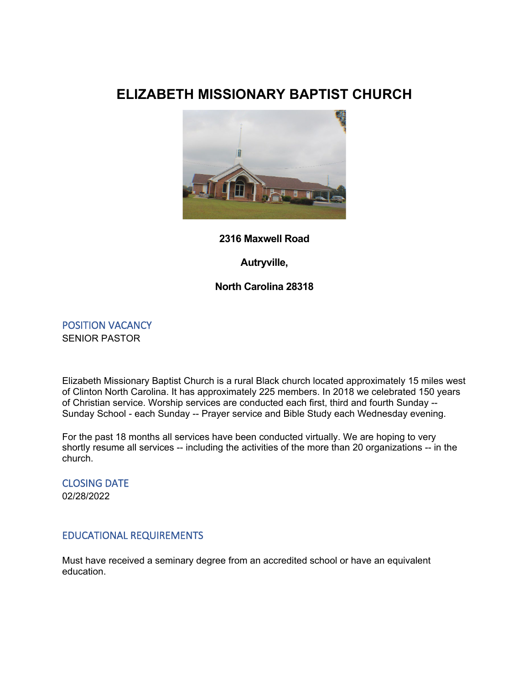# **ELIZABETH MISSIONARY BAPTIST CHURCH**



#### **2316 Maxwell Road**

**Autryville,**

### **North Carolina 28318**

POSITION VACANCY SENIOR PASTOR

Elizabeth Missionary Baptist Church is a rural Black church located approximately 15 miles west of Clinton North Carolina. It has approximately 225 members. In 2018 we celebrated 150 years of Christian service. Worship services are conducted each first, third and fourth Sunday -- Sunday School - each Sunday -- Prayer service and Bible Study each Wednesday evening.

For the past 18 months all services have been conducted virtually. We are hoping to very shortly resume all services -- including the activities of the more than 20 organizations -- in the church.

# CLOSING DATE 02/28/2022

#### EDUCATIONAL REQUIREMENTS

Must have received a seminary degree from an accredited school or have an equivalent education.